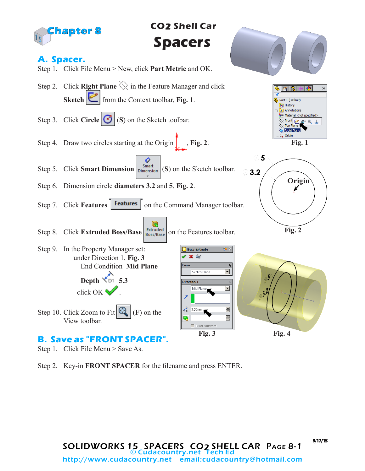

Step 1. Click File Menu > Save As.

Step 2. Key-in **FRONT SPACER** for the filename and press ENTER.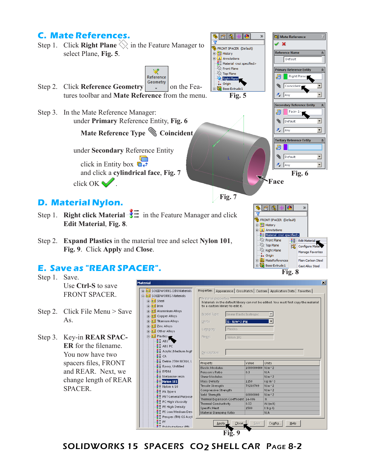## **C. Mate References.**

- ☞ | 图 **D**I Mate Reference ъ  $\overline{\mathbf{v}}$ Step 1. Click **Right Plane**  $\Diamond$  in the Feature Manager to  $\vee$  x FRONT SPACER (Default) **Reference Name** ×. select Plane, **Fig. 5**. **D** History  $A$  Annotations Default  $\frac{3}{2}$  Material <not specified>  $\otimes$  Front Plane **Primary Reference Entity** ∢  $\gg$  Top Plane **Right Plane** Reference Right Plan Step 2. Click **Reference Geometry**  $\begin{bmatrix} \text{Geometry} \\ \text{v} \end{bmatrix}$  on the Fea- $\downarrow$  Origin Coincident  $\mathbf{r}$ **Boss-Extrude 1** tures toolbar and **Mate Reference** from the menu.  $\sqrt{\phantom{a}}$  Any **Fig. 5 Secondary Reference Entity** Step 3. In the Mate Reference Manager:  $\vert$  Face<1> 1 윤 under **Primary** Reference Entity, **Fig. 6 B** Default  $\overline{\mathbf{r}}$  $\lambda$  Any  $\overline{\mathbf{r}}$  **Mate Reference Type Coincident Tertiary Reference Entity**  $\hat{\mathbf{x}}$  $\mathbf{B}$  iii under **Secondary** Reference Entity **B** Default  $\overline{\mathbf{r}}$ click in Entity box  $\overrightarrow{a}$ .  $\lambda$  Any  $\overline{\mathbf{r}}$  and click a **cylindrical face**, **Fig. 7 Fig. 6** click OK  $\mathcal{C}$ . **Face Fig. 7 D. Material Nylon.**  $\mathcal{D}$
- Step 1. **Right click Material**  $\frac{1}{\sqrt{2}}$  in the Feature Manager and click **Edit Material**, **Fig. 8**.
- Step 2. **Expand Plastics** in the material tree and select **Nylon 101**, **Fig. 9**. Click **Apply** and **Close**.

## **E. Save as "REAR SPACER".**

- Step 1. Save. Use **Ctrl-S** to save FRONT SPACER.
- Step 2. Click File Menu > Save As.
- Step 3. Key-in **REAR SPAC-ER** for the filename. You now have two spacers files, FRONT and REAR. Next, we change length of REAR SPACER.

| laterial                                |                                                                                                             |                  | ×                                                                            |
|-----------------------------------------|-------------------------------------------------------------------------------------------------------------|------------------|------------------------------------------------------------------------------|
| <b>FF-8 SOLIDWORKS DIN Materials</b>    |                                                                                                             |                  | Properties   Appearance   CrossHatch   Custom   Application Data   Favorites |
| □ 3 SOLIDWORKS Materials                |                                                                                                             |                  |                                                                              |
| ने <sup>\$∃</sup> Steel                 | Material properties<br>Materials in the default library can not be edited. You must first copy the material |                  |                                                                              |
| ⊯ ≹≣l Iron                              | to a custom library to edit it.                                                                             |                  |                                                                              |
| 中 <mark>注</mark> Aluminium Alloys       |                                                                                                             |                  |                                                                              |
| Copper Alloys<br>中非                     | Model Type:<br>Linear Elastic Isotropic                                                                     |                  |                                                                              |
| <b>Titanium Alloys</b><br>中相            | SI - N/m^2 (Pa)<br>Units:                                                                                   |                  |                                                                              |
| <b>Zinc Alloys</b><br>中非                |                                                                                                             |                  |                                                                              |
| 中 <mark>注</mark> Other Alloys           | Plastics<br>Category:                                                                                       |                  |                                                                              |
| □ 8 Plastics                            | Name:<br>Nvlon 101                                                                                          |                  |                                                                              |
| $S = ABS$                               |                                                                                                             |                  |                                                                              |
| Х= АВSРС                                |                                                                                                             |                  |                                                                              |
| $\Xi$ Acrylic (Medium-high              | Description:                                                                                                |                  |                                                                              |
| XII са                                  |                                                                                                             |                  |                                                                              |
| Delrin 2700 NC010, L                    |                                                                                                             | Value            | Units                                                                        |
| $\Sigma$ Epoxy, Unfilled                | Property                                                                                                    | 1000000000 N/m^2 |                                                                              |
| $\frac{3}{2}$ EPDM                      | <b>Elastic Modulus</b><br>Poisson's Ratio                                                                   | 0.3              | N/A                                                                          |
| $\mathbf{I} = \mathbf{M}$ elamine resin | Shear Modulus                                                                                               |                  | $N/m \wedge 2$                                                               |
| Nylon 101                               | Mass Density                                                                                                | 1150             | $kq/m \wedge 3$                                                              |
|                                         | Tensile Strength                                                                                            | 79289709         | $N/m^2$                                                                      |
| $\equiv$ Nylon 6/10                     | Compressive Strength                                                                                        |                  | $N/m \wedge 2$                                                               |
| PA Type 6                               | <b>Yield Strenath</b>                                                                                       | 60000000         | $N/m^2$                                                                      |
| 홍드 PBT General Purpose                  | Thermal Expansion Coefficient 1e-006                                                                        |                  | /K                                                                           |
| ※ PC High Viscosity                     | Thermal Conductivity                                                                                        | 0.53             | W/(m-K)                                                                      |
|                                         |                                                                                                             |                  |                                                                              |
| $\frac{3}{2}$ PE High Density           | Specific Heat                                                                                               | 1500             | J/(kg·K)                                                                     |
| ₹= PE Low/Medium Den                    | Material Damping Ratio                                                                                      |                  | N/A                                                                          |
| 홍드 Perspex (TM) GS Acryl                |                                                                                                             |                  |                                                                              |
| .≹⊟ PF<br>$3$ = Polybutadiene (PR)      | Close.<br>Apply.                                                                                            | Save             | Config<br>Help                                                               |

**Fig. 8**

K.

 $\epsilon =$  Edit Material Edit Material

Manage Favorites

Plain Carbon Steel

Cast Alloy Steel

FRONT SPACER (Default) **D** History  $\mathbf{A}$  Annotations **8 Material <not sp**  $\gg$  Front Plane

 $\otimes$  Top Plane

 $\overline{\diamondsuit}$  Right Plane

Boss-Extrude 1

 $\downarrow$  Origin **E** MateReferences

SOLIDWORKS 15 SPACERS CO<sub>2</sub> SHELL CAR PAGE 8-2